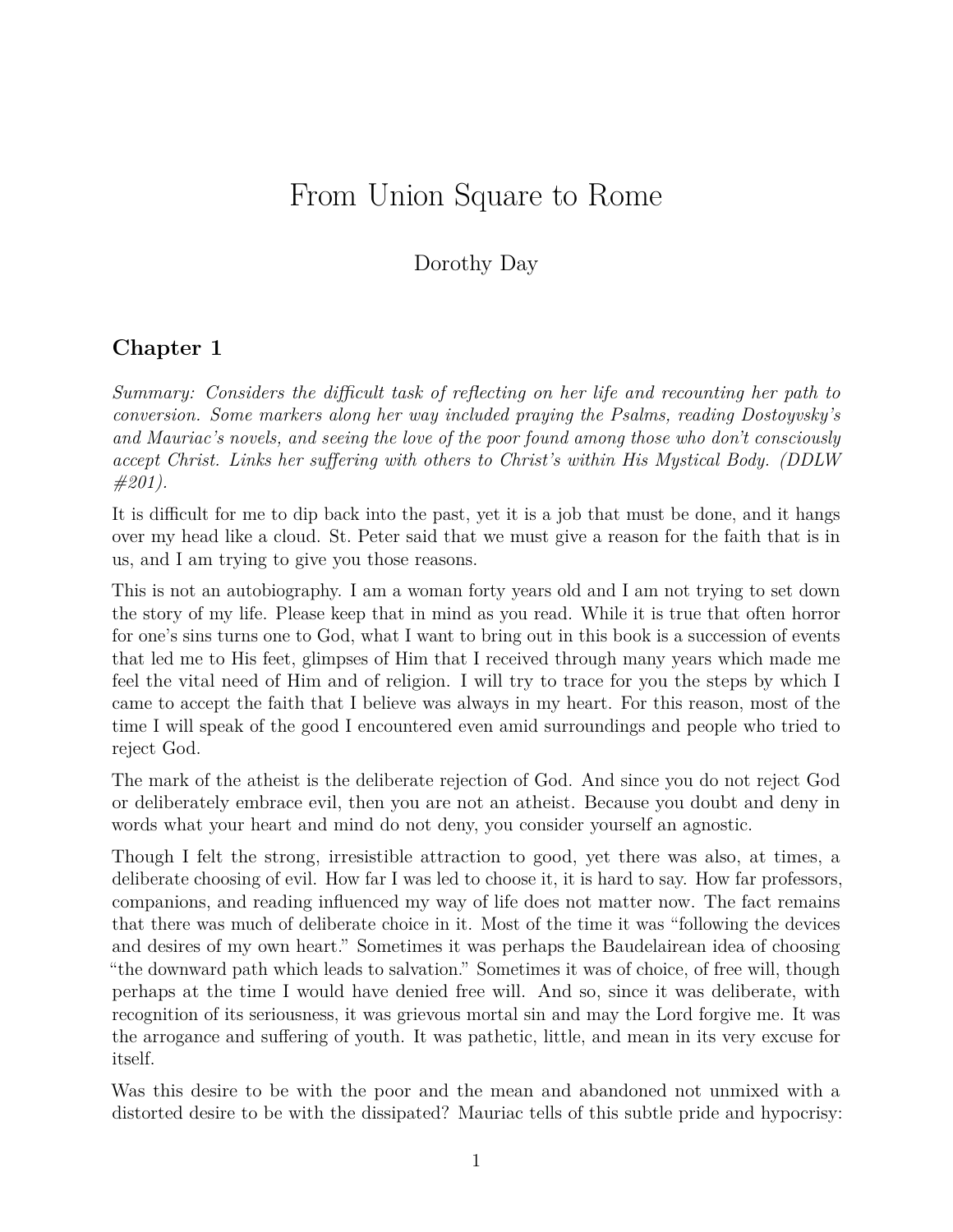## From Union Square to Rome

## Dorothy Day

## **Chapter 1**

*Summary: Considers the difficult task of reflecting on her life and recounting her path to conversion. Some markers along her way included praying the Psalms, reading Dostoyvsky's and Mauriac's novels, and seeing the love of the poor found among those who don't consciously accept Christ. Links her suffering with others to Christ's within His Mystical Body. (DDLW #201).*

It is difficult for me to dip back into the past, yet it is a job that must be done, and it hangs over my head like a cloud. St. Peter said that we must give a reason for the faith that is in us, and I am trying to give you those reasons.

This is not an autobiography. I am a woman forty years old and I am not trying to set down the story of my life. Please keep that in mind as you read. While it is true that often horror for one's sins turns one to God, what I want to bring out in this book is a succession of events that led me to His feet, glimpses of Him that I received through many years which made me feel the vital need of Him and of religion. I will try to trace for you the steps by which I came to accept the faith that I believe was always in my heart. For this reason, most of the time I will speak of the good I encountered even amid surroundings and people who tried to reject God.

The mark of the atheist is the deliberate rejection of God. And since you do not reject God or deliberately embrace evil, then you are not an atheist. Because you doubt and deny in words what your heart and mind do not deny, you consider yourself an agnostic.

Though I felt the strong, irresistible attraction to good, yet there was also, at times, a deliberate choosing of evil. How far I was led to choose it, it is hard to say. How far professors, companions, and reading influenced my way of life does not matter now. The fact remains that there was much of deliberate choice in it. Most of the time it was "following the devices and desires of my own heart." Sometimes it was perhaps the Baudelairean idea of choosing "the downward path which leads to salvation." Sometimes it was of choice, of free will, though perhaps at the time I would have denied free will. And so, since it was deliberate, with recognition of its seriousness, it was grievous mortal sin and may the Lord forgive me. It was the arrogance and suffering of youth. It was pathetic, little, and mean in its very excuse for itself.

Was this desire to be with the poor and the mean and abandoned not unmixed with a distorted desire to be with the dissipated? Mauriac tells of this subtle pride and hypocrisy: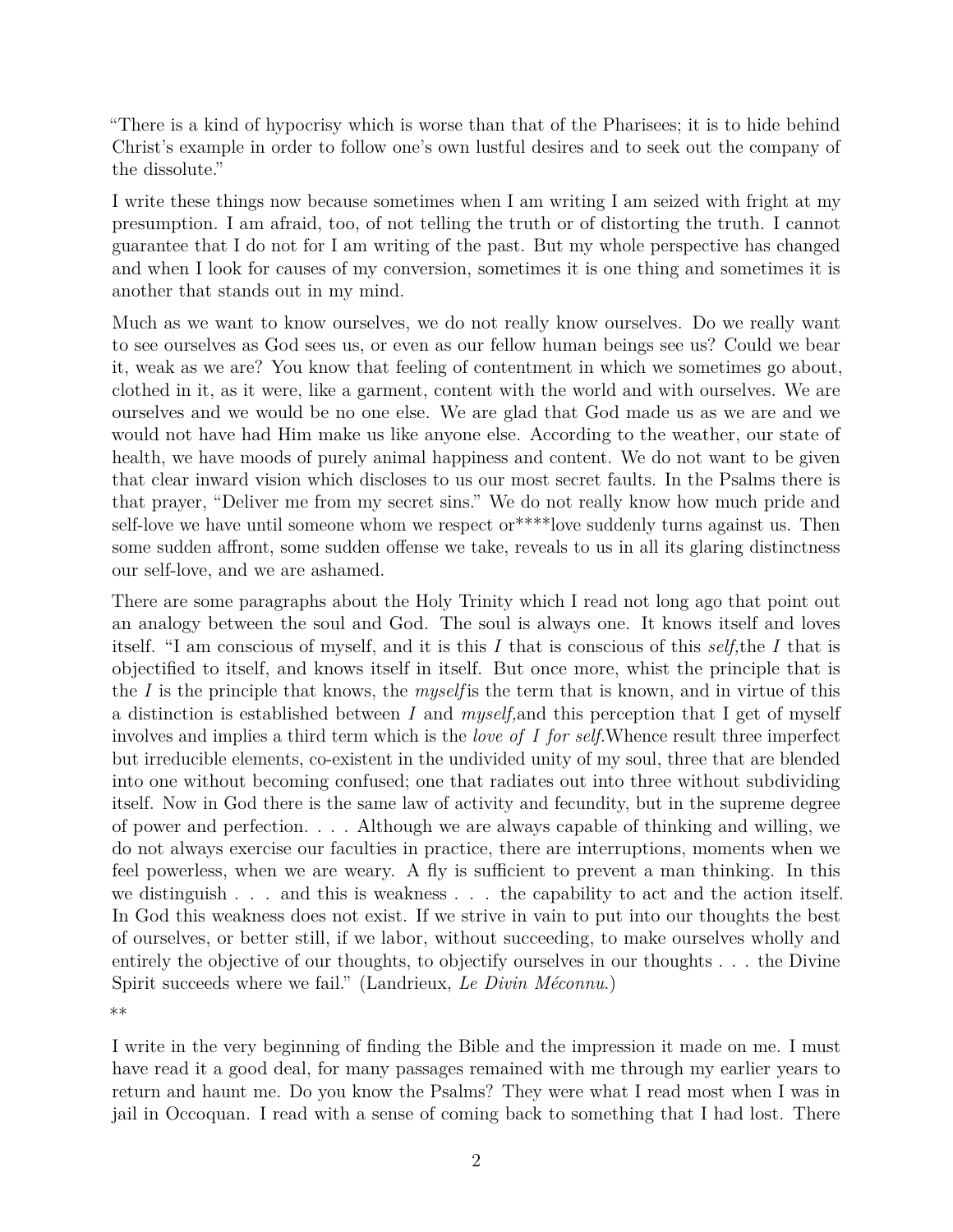"There is a kind of hypocrisy which is worse than that of the Pharisees; it is to hide behind Christ's example in order to follow one's own lustful desires and to seek out the company of the dissolute."

I write these things now because sometimes when I am writing I am seized with fright at my presumption. I am afraid, too, of not telling the truth or of distorting the truth. I cannot guarantee that I do not for I am writing of the past. But my whole perspective has changed and when I look for causes of my conversion, sometimes it is one thing and sometimes it is another that stands out in my mind.

Much as we want to know ourselves, we do not really know ourselves. Do we really want to see ourselves as God sees us, or even as our fellow human beings see us? Could we bear it, weak as we are? You know that feeling of contentment in which we sometimes go about, clothed in it, as it were, like a garment, content with the world and with ourselves. We are ourselves and we would be no one else. We are glad that God made us as we are and we would not have had Him make us like anyone else. According to the weather, our state of health, we have moods of purely animal happiness and content. We do not want to be given that clear inward vision which discloses to us our most secret faults. In the Psalms there is that prayer, "Deliver me from my secret sins." We do not really know how much pride and self-love we have until someone whom we respect or \*\*\*\*\*love suddenly turns against us. Then some sudden affront, some sudden offense we take, reveals to us in all its glaring distinctness our self-love, and we are ashamed.

There are some paragraphs about the Holy Trinity which I read not long ago that point out an analogy between the soul and God. The soul is always one. It knows itself and loves itself. "I am conscious of myself, and it is this *I* that is conscious of this *self,*the *I* that is objectified to itself, and knows itself in itself. But once more, whist the principle that is the *I* is the principle that knows, the *myself* is the term that is known, and in virtue of this a distinction is established between *I* and *myself,*and this perception that I get of myself involves and implies a third term which is the *love of I for self.*Whence result three imperfect but irreducible elements, co-existent in the undivided unity of my soul, three that are blended into one without becoming confused; one that radiates out into three without subdividing itself. Now in God there is the same law of activity and fecundity, but in the supreme degree of power and perfection. . . . Although we are always capable of thinking and willing, we do not always exercise our faculties in practice, there are interruptions, moments when we feel powerless, when we are weary. A fly is sufficient to prevent a man thinking. In this we distinguish . . . and this is weakness . . . the capability to act and the action itself. In God this weakness does not exist. If we strive in vain to put into our thoughts the best of ourselves, or better still, if we labor, without succeeding, to make ourselves wholly and entirely the objective of our thoughts, to objectify ourselves in our thoughts . . . the Divine Spirit succeeds where we fail." (Landrieux, *Le Divin Méconnu*.) \*\*

I write in the very beginning of finding the Bible and the impression it made on me. I must have read it a good deal, for many passages remained with me through my earlier years to return and haunt me. Do you know the Psalms? They were what I read most when I was in jail in Occoquan. I read with a sense of coming back to something that I had lost. There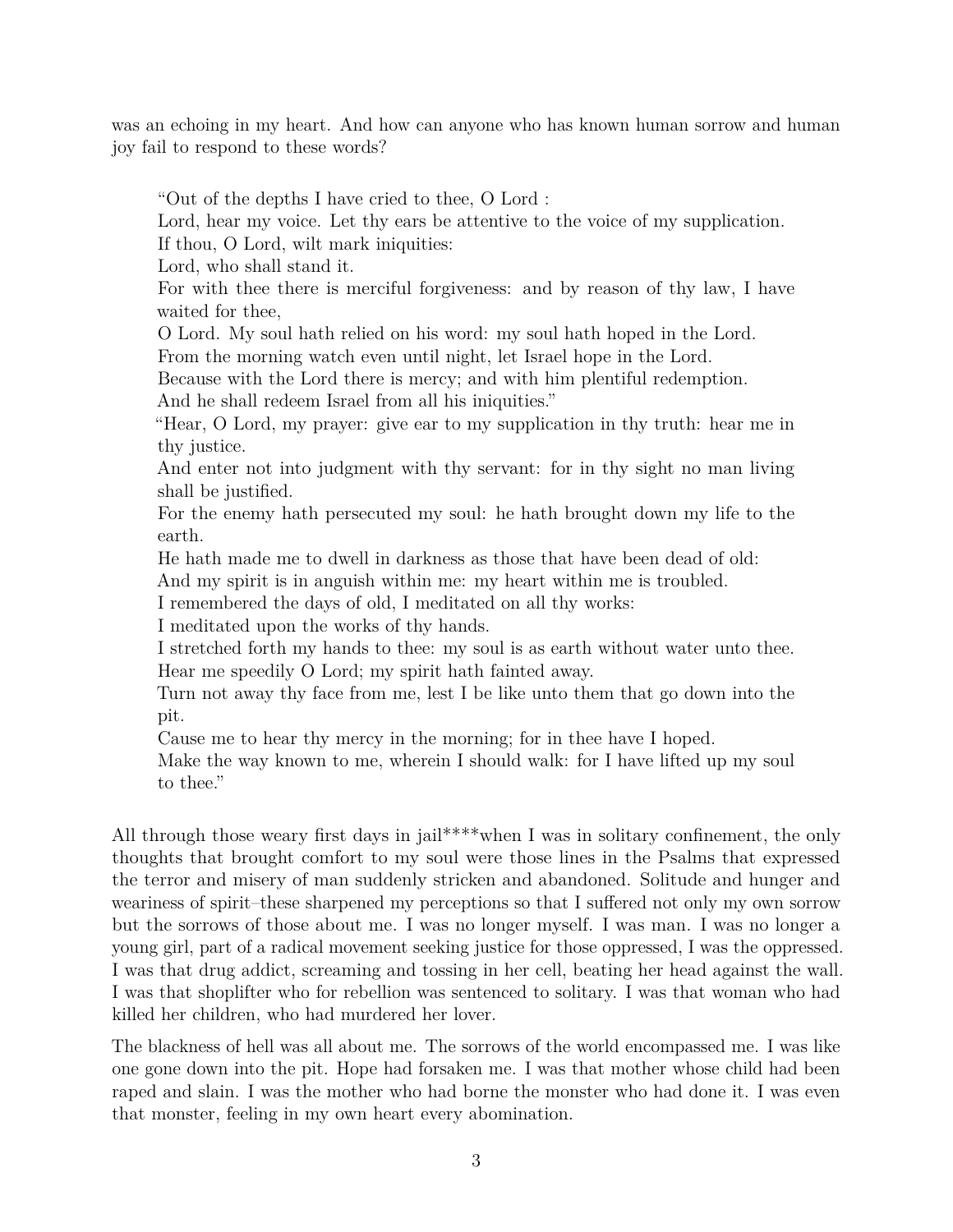was an echoing in my heart. And how can anyone who has known human sorrow and human joy fail to respond to these words?

"Out of the depths I have cried to thee, O Lord :

Lord, hear my voice. Let thy ears be attentive to the voice of my supplication.

If thou, O Lord, wilt mark iniquities:

Lord, who shall stand it.

For with thee there is merciful forgiveness: and by reason of thy law, I have waited for thee,

O Lord. My soul hath relied on his word: my soul hath hoped in the Lord. From the morning watch even until night, let Israel hope in the Lord.

Because with the Lord there is mercy; and with him plentiful redemption. And he shall redeem Israel from all his iniquities."

"Hear, O Lord, my prayer: give ear to my supplication in thy truth: hear me in thy justice.

And enter not into judgment with thy servant: for in thy sight no man living shall be justified.

For the enemy hath persecuted my soul: he hath brought down my life to the earth.

He hath made me to dwell in darkness as those that have been dead of old:

And my spirit is in anguish within me: my heart within me is troubled.

I remembered the days of old, I meditated on all thy works:

I meditated upon the works of thy hands.

I stretched forth my hands to thee: my soul is as earth without water unto thee. Hear me speedily O Lord; my spirit hath fainted away.

Turn not away thy face from me, lest I be like unto them that go down into the pit.

Cause me to hear thy mercy in the morning; for in thee have I hoped.

Make the way known to me, wherein I should walk: for I have lifted up my soul to thee."

All through those weary first days in jail\*\*\*\*when I was in solitary confinement, the only thoughts that brought comfort to my soul were those lines in the Psalms that expressed the terror and misery of man suddenly stricken and abandoned. Solitude and hunger and weariness of spirit–these sharpened my perceptions so that I suffered not only my own sorrow but the sorrows of those about me. I was no longer myself. I was man. I was no longer a young girl, part of a radical movement seeking justice for those oppressed, I was the oppressed. I was that drug addict, screaming and tossing in her cell, beating her head against the wall. I was that shoplifter who for rebellion was sentenced to solitary. I was that woman who had killed her children, who had murdered her lover.

The blackness of hell was all about me. The sorrows of the world encompassed me. I was like one gone down into the pit. Hope had forsaken me. I was that mother whose child had been raped and slain. I was the mother who had borne the monster who had done it. I was even that monster, feeling in my own heart every abomination.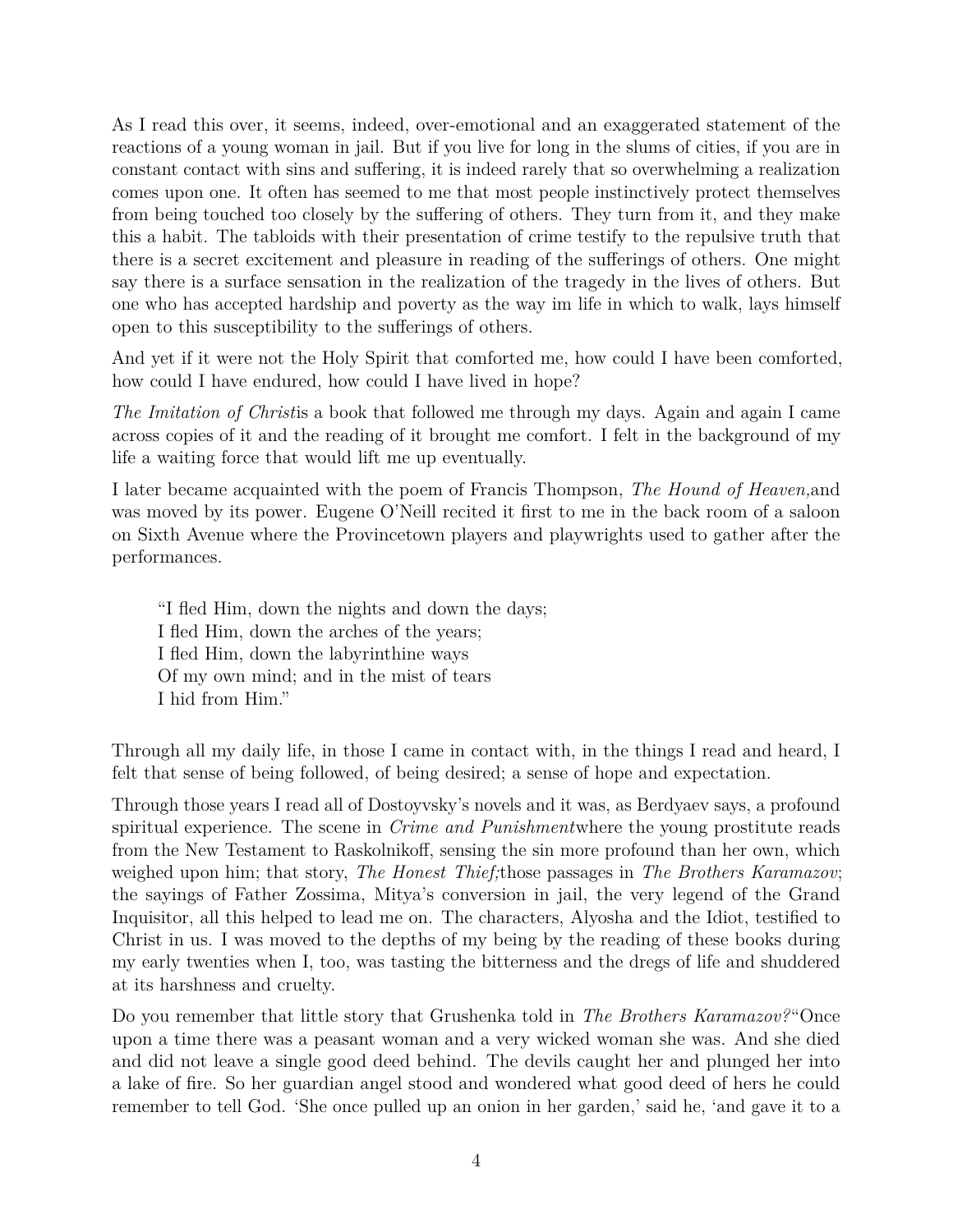As I read this over, it seems, indeed, over-emotional and an exaggerated statement of the reactions of a young woman in jail. But if you live for long in the slums of cities, if you are in constant contact with sins and suffering, it is indeed rarely that so overwhelming a realization comes upon one. It often has seemed to me that most people instinctively protect themselves from being touched too closely by the suffering of others. They turn from it, and they make this a habit. The tabloids with their presentation of crime testify to the repulsive truth that there is a secret excitement and pleasure in reading of the sufferings of others. One might say there is a surface sensation in the realization of the tragedy in the lives of others. But one who has accepted hardship and poverty as the way im life in which to walk, lays himself open to this susceptibility to the sufferings of others.

And yet if it were not the Holy Spirit that comforted me, how could I have been comforted, how could I have endured, how could I have lived in hope?

*The Imitation of Christ*is a book that followed me through my days. Again and again I came across copies of it and the reading of it brought me comfort. I felt in the background of my life a waiting force that would lift me up eventually.

I later became acquainted with the poem of Francis Thompson, *The Hound of Heaven,*and was moved by its power. Eugene O'Neill recited it first to me in the back room of a saloon on Sixth Avenue where the Provincetown players and playwrights used to gather after the performances.

"I fled Him, down the nights and down the days; I fled Him, down the arches of the years; I fled Him, down the labyrinthine ways Of my own mind; and in the mist of tears I hid from Him."

Through all my daily life, in those I came in contact with, in the things I read and heard, I felt that sense of being followed, of being desired; a sense of hope and expectation.

Through those years I read all of Dostoyvsky's novels and it was, as Berdyaev says, a profound spiritual experience. The scene in *Crime and Punishment*where the young prostitute reads from the New Testament to Raskolnikoff, sensing the sin more profound than her own, which weighed upon him; that story, *The Honest Thief;*those passages in *The Brothers Karamazov*; the sayings of Father Zossima, Mitya's conversion in jail, the very legend of the Grand Inquisitor, all this helped to lead me on. The characters, Alyosha and the Idiot, testified to Christ in us. I was moved to the depths of my being by the reading of these books during my early twenties when I, too, was tasting the bitterness and the dregs of life and shuddered at its harshness and cruelty.

Do you remember that little story that Grushenka told in *The Brothers Karamazov?*"Once upon a time there was a peasant woman and a very wicked woman she was. And she died and did not leave a single good deed behind. The devils caught her and plunged her into a lake of fire. So her guardian angel stood and wondered what good deed of hers he could remember to tell God. 'She once pulled up an onion in her garden,' said he, 'and gave it to a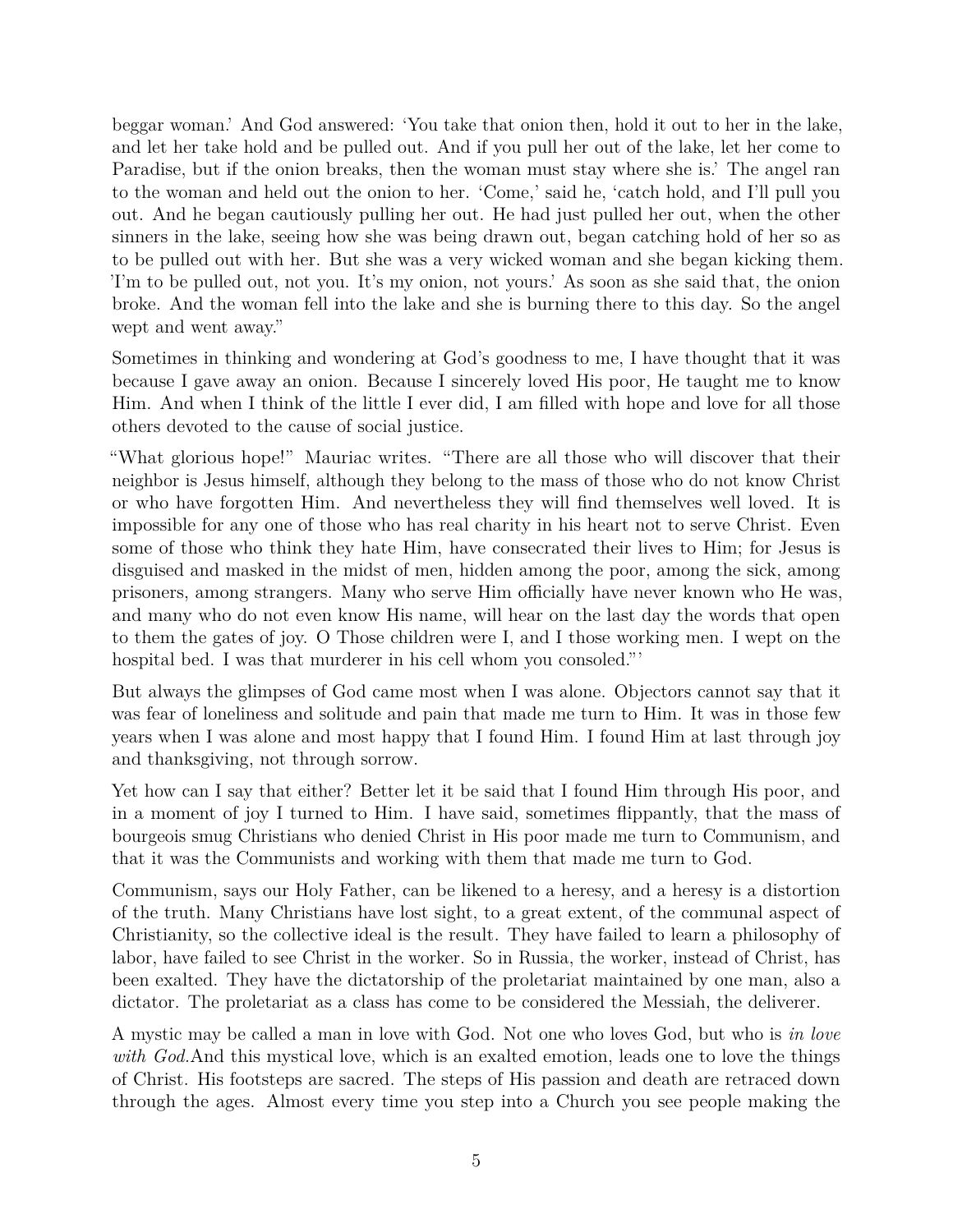beggar woman.' And God answered: 'You take that onion then, hold it out to her in the lake, and let her take hold and be pulled out. And if you pull her out of the lake, let her come to Paradise, but if the onion breaks, then the woman must stay where she is.' The angel ran to the woman and held out the onion to her. 'Come,' said he, 'catch hold, and I'll pull you out. And he began cautiously pulling her out. He had just pulled her out, when the other sinners in the lake, seeing how she was being drawn out, began catching hold of her so as to be pulled out with her. But she was a very wicked woman and she began kicking them. 'I'm to be pulled out, not you. It's my onion, not yours.' As soon as she said that, the onion broke. And the woman fell into the lake and she is burning there to this day. So the angel wept and went away."

Sometimes in thinking and wondering at God's goodness to me, I have thought that it was because I gave away an onion. Because I sincerely loved His poor, He taught me to know Him. And when I think of the little I ever did, I am filled with hope and love for all those others devoted to the cause of social justice.

"What glorious hope!" Mauriac writes. "There are all those who will discover that their neighbor is Jesus himself, although they belong to the mass of those who do not know Christ or who have forgotten Him. And nevertheless they will find themselves well loved. It is impossible for any one of those who has real charity in his heart not to serve Christ. Even some of those who think they hate Him, have consecrated their lives to Him; for Jesus is disguised and masked in the midst of men, hidden among the poor, among the sick, among prisoners, among strangers. Many who serve Him officially have never known who He was, and many who do not even know His name, will hear on the last day the words that open to them the gates of joy. O Those children were I, and I those working men. I wept on the hospital bed. I was that murderer in his cell whom you consoled."'

But always the glimpses of God came most when I was alone. Objectors cannot say that it was fear of loneliness and solitude and pain that made me turn to Him. It was in those few years when I was alone and most happy that I found Him. I found Him at last through joy and thanksgiving, not through sorrow.

Yet how can I say that either? Better let it be said that I found Him through His poor, and in a moment of joy I turned to Him. I have said, sometimes flippantly, that the mass of bourgeois smug Christians who denied Christ in His poor made me turn to Communism, and that it was the Communists and working with them that made me turn to God.

Communism, says our Holy Father, can be likened to a heresy, and a heresy is a distortion of the truth. Many Christians have lost sight, to a great extent, of the communal aspect of Christianity, so the collective ideal is the result. They have failed to learn a philosophy of labor, have failed to see Christ in the worker. So in Russia, the worker, instead of Christ, has been exalted. They have the dictatorship of the proletariat maintained by one man, also a dictator. The proletariat as a class has come to be considered the Messiah, the deliverer.

A mystic may be called a man in love with God. Not one who loves God, but who is *in love with God.*And this mystical love, which is an exalted emotion, leads one to love the things of Christ. His footsteps are sacred. The steps of His passion and death are retraced down through the ages. Almost every time you step into a Church you see people making the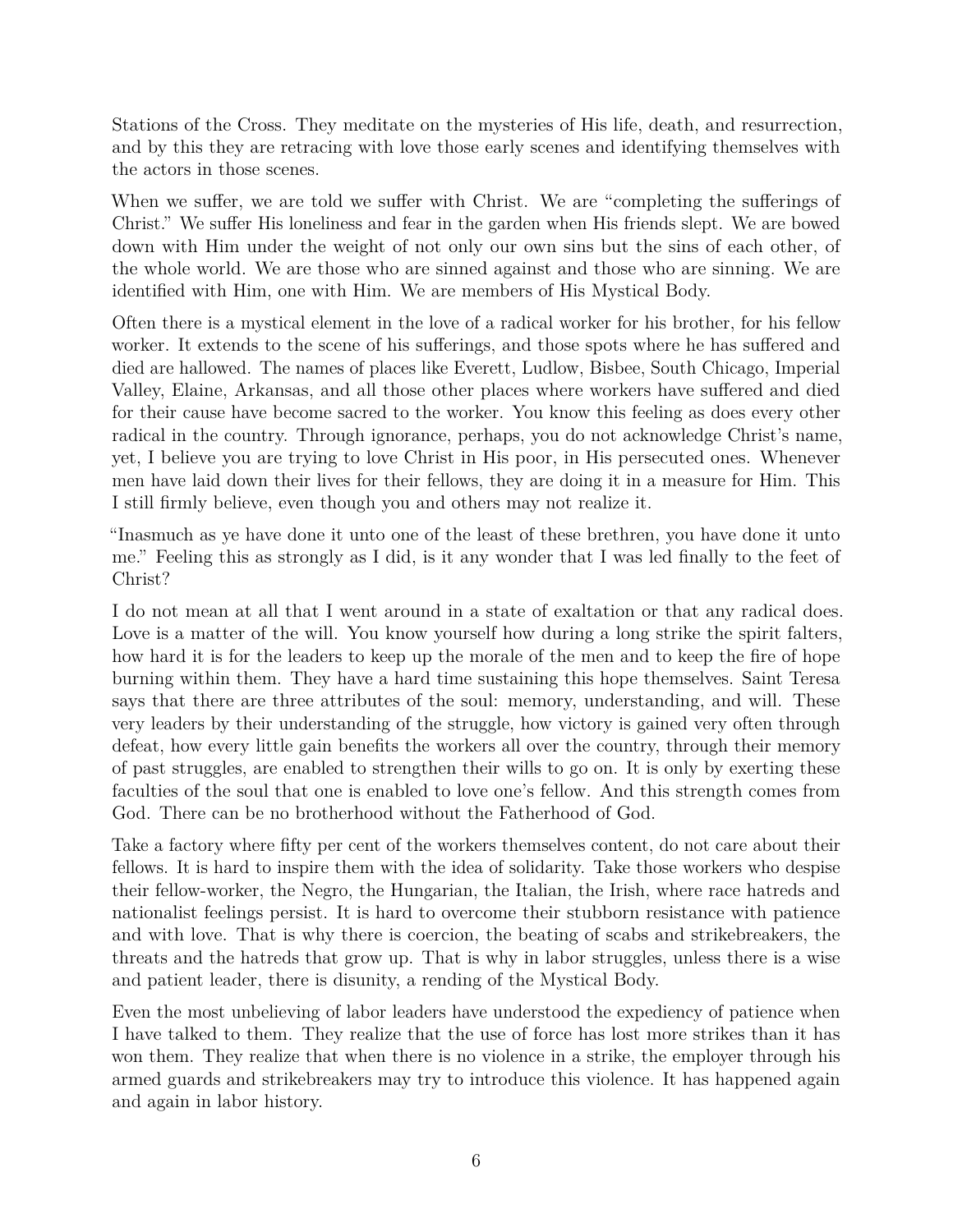Stations of the Cross. They meditate on the mysteries of His life, death, and resurrection, and by this they are retracing with love those early scenes and identifying themselves with the actors in those scenes.

When we suffer, we are told we suffer with Christ. We are "completing the sufferings of Christ." We suffer His loneliness and fear in the garden when His friends slept. We are bowed down with Him under the weight of not only our own sins but the sins of each other, of the whole world. We are those who are sinned against and those who are sinning. We are identified with Him, one with Him. We are members of His Mystical Body.

Often there is a mystical element in the love of a radical worker for his brother, for his fellow worker. It extends to the scene of his sufferings, and those spots where he has suffered and died are hallowed. The names of places like Everett, Ludlow, Bisbee, South Chicago, Imperial Valley, Elaine, Arkansas, and all those other places where workers have suffered and died for their cause have become sacred to the worker. You know this feeling as does every other radical in the country. Through ignorance, perhaps, you do not acknowledge Christ's name, yet, I believe you are trying to love Christ in His poor, in His persecuted ones. Whenever men have laid down their lives for their fellows, they are doing it in a measure for Him. This I still firmly believe, even though you and others may not realize it.

"Inasmuch as ye have done it unto one of the least of these brethren, you have done it unto me." Feeling this as strongly as I did, is it any wonder that I was led finally to the feet of Christ?

I do not mean at all that I went around in a state of exaltation or that any radical does. Love is a matter of the will. You know yourself how during a long strike the spirit falters, how hard it is for the leaders to keep up the morale of the men and to keep the fire of hope burning within them. They have a hard time sustaining this hope themselves. Saint Teresa says that there are three attributes of the soul: memory, understanding, and will. These very leaders by their understanding of the struggle, how victory is gained very often through defeat, how every little gain benefits the workers all over the country, through their memory of past struggles, are enabled to strengthen their wills to go on. It is only by exerting these faculties of the soul that one is enabled to love one's fellow. And this strength comes from God. There can be no brotherhood without the Fatherhood of God.

Take a factory where fifty per cent of the workers themselves content, do not care about their fellows. It is hard to inspire them with the idea of solidarity. Take those workers who despise their fellow-worker, the Negro, the Hungarian, the Italian, the Irish, where race hatreds and nationalist feelings persist. It is hard to overcome their stubborn resistance with patience and with love. That is why there is coercion, the beating of scabs and strikebreakers, the threats and the hatreds that grow up. That is why in labor struggles, unless there is a wise and patient leader, there is disunity, a rending of the Mystical Body.

Even the most unbelieving of labor leaders have understood the expediency of patience when I have talked to them. They realize that the use of force has lost more strikes than it has won them. They realize that when there is no violence in a strike, the employer through his armed guards and strikebreakers may try to introduce this violence. It has happened again and again in labor history.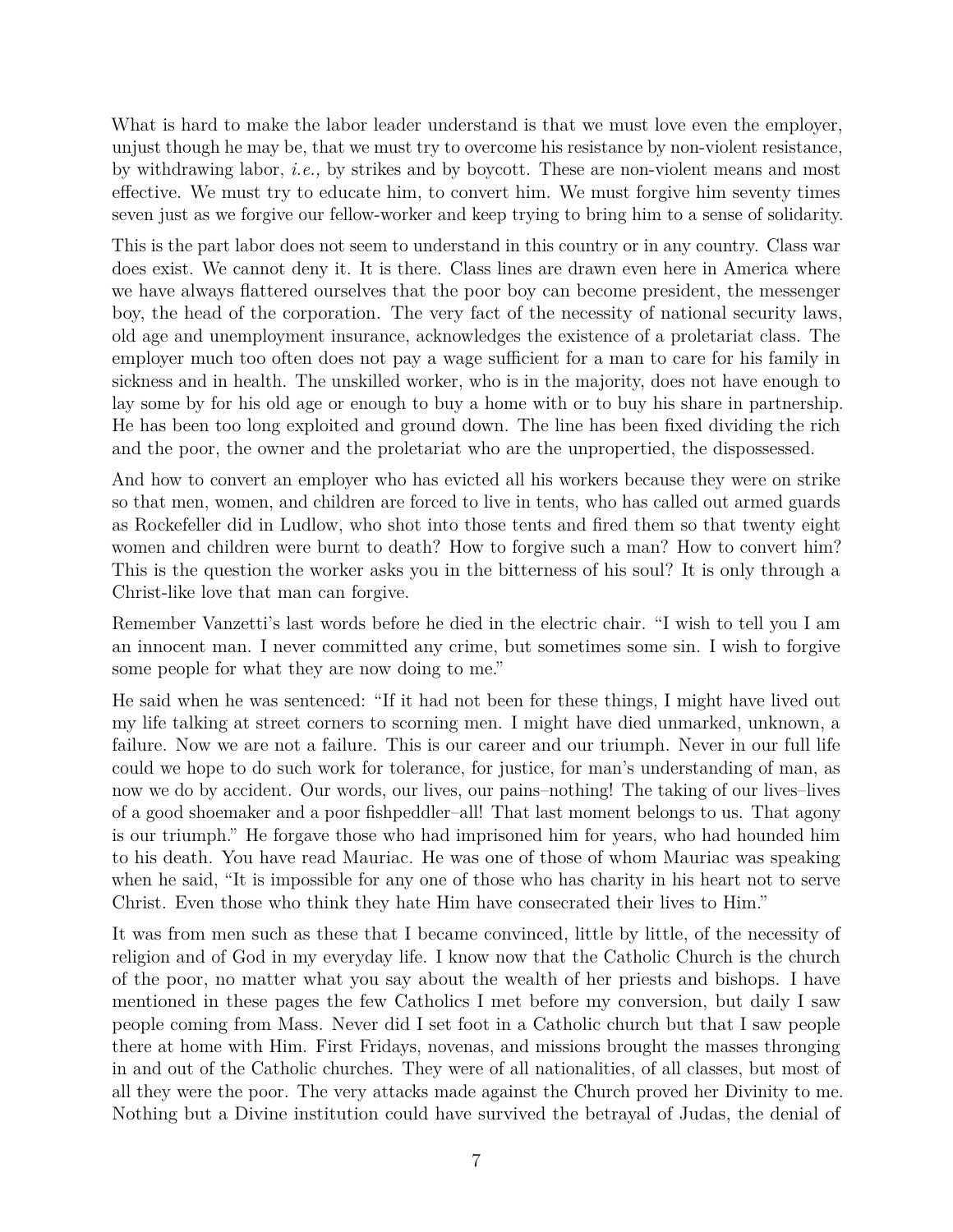What is hard to make the labor leader understand is that we must love even the employer, unjust though he may be, that we must try to overcome his resistance by non-violent resistance, by withdrawing labor, *i.e.,* by strikes and by boycott. These are non-violent means and most effective. We must try to educate him, to convert him. We must forgive him seventy times seven just as we forgive our fellow-worker and keep trying to bring him to a sense of solidarity.

This is the part labor does not seem to understand in this country or in any country. Class war does exist. We cannot deny it. It is there. Class lines are drawn even here in America where we have always flattered ourselves that the poor boy can become president, the messenger boy, the head of the corporation. The very fact of the necessity of national security laws, old age and unemployment insurance, acknowledges the existence of a proletariat class. The employer much too often does not pay a wage sufficient for a man to care for his family in sickness and in health. The unskilled worker, who is in the majority, does not have enough to lay some by for his old age or enough to buy a home with or to buy his share in partnership. He has been too long exploited and ground down. The line has been fixed dividing the rich and the poor, the owner and the proletariat who are the unpropertied, the dispossessed.

And how to convert an employer who has evicted all his workers because they were on strike so that men, women, and children are forced to live in tents, who has called out armed guards as Rockefeller did in Ludlow, who shot into those tents and fired them so that twenty eight women and children were burnt to death? How to forgive such a man? How to convert him? This is the question the worker asks you in the bitterness of his soul? It is only through a Christ-like love that man can forgive.

Remember Vanzetti's last words before he died in the electric chair. "I wish to tell you I am an innocent man. I never committed any crime, but sometimes some sin. I wish to forgive some people for what they are now doing to me."

He said when he was sentenced: "If it had not been for these things, I might have lived out my life talking at street corners to scorning men. I might have died unmarked, unknown, a failure. Now we are not a failure. This is our career and our triumph. Never in our full life could we hope to do such work for tolerance, for justice, for man's understanding of man, as now we do by accident. Our words, our lives, our pains–nothing! The taking of our lives–lives of a good shoemaker and a poor fishpeddler–all! That last moment belongs to us. That agony is our triumph." He forgave those who had imprisoned him for years, who had hounded him to his death. You have read Mauriac. He was one of those of whom Mauriac was speaking when he said, "It is impossible for any one of those who has charity in his heart not to serve Christ. Even those who think they hate Him have consecrated their lives to Him."

It was from men such as these that I became convinced, little by little, of the necessity of religion and of God in my everyday life. I know now that the Catholic Church is the church of the poor, no matter what you say about the wealth of her priests and bishops. I have mentioned in these pages the few Catholics I met before my conversion, but daily I saw people coming from Mass. Never did I set foot in a Catholic church but that I saw people there at home with Him. First Fridays, novenas, and missions brought the masses thronging in and out of the Catholic churches. They were of all nationalities, of all classes, but most of all they were the poor. The very attacks made against the Church proved her Divinity to me. Nothing but a Divine institution could have survived the betrayal of Judas, the denial of